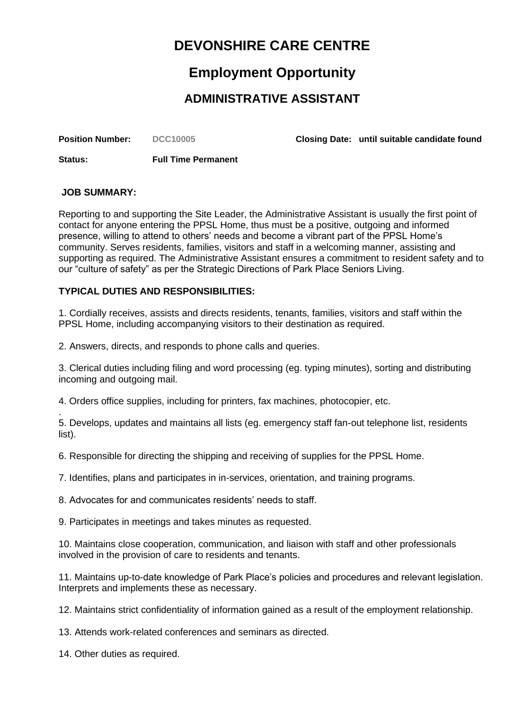# **DEVONSHIRE CARE CENTRE**

## **Employment Opportunity**

### **ADMINISTRATIVE ASSISTANT**

**Position Number: DCC10005 Closing Date: until suitable candidate found**

**Status: Full Time Permanent** 

#### **JOB SUMMARY:**

Reporting to and supporting the Site Leader, the Administrative Assistant is usually the first point of contact for anyone entering the PPSL Home, thus must be a positive, outgoing and informed presence, willing to attend to others' needs and become a vibrant part of the PPSL Home's community. Serves residents, families, visitors and staff in a welcoming manner, assisting and supporting as required. The Administrative Assistant ensures a commitment to resident safety and to our "culture of safety" as per the Strategic Directions of Park Place Seniors Living.

### **TYPICAL DUTIES AND RESPONSIBILITIES:**

1. Cordially receives, assists and directs residents, tenants, families, visitors and staff within the PPSL Home, including accompanying visitors to their destination as required.

2. Answers, directs, and responds to phone calls and queries.

3. Clerical duties including filing and word processing (eg. typing minutes), sorting and distributing incoming and outgoing mail.

4. Orders office supplies, including for printers, fax machines, photocopier, etc.

. 5. Develops, updates and maintains all lists (eg. emergency staff fan-out telephone list, residents list).

6. Responsible for directing the shipping and receiving of supplies for the PPSL Home.

7. Identifies, plans and participates in in-services, orientation, and training programs.

8. Advocates for and communicates residents' needs to staff.

9. Participates in meetings and takes minutes as requested.

10. Maintains close cooperation, communication, and liaison with staff and other professionals involved in the provision of care to residents and tenants.

11. Maintains up-to-date knowledge of Park Place's policies and procedures and relevant legislation. Interprets and implements these as necessary.

12. Maintains strict confidentiality of information gained as a result of the employment relationship.

13. Attends work-related conferences and seminars as directed.

14. Other duties as required.